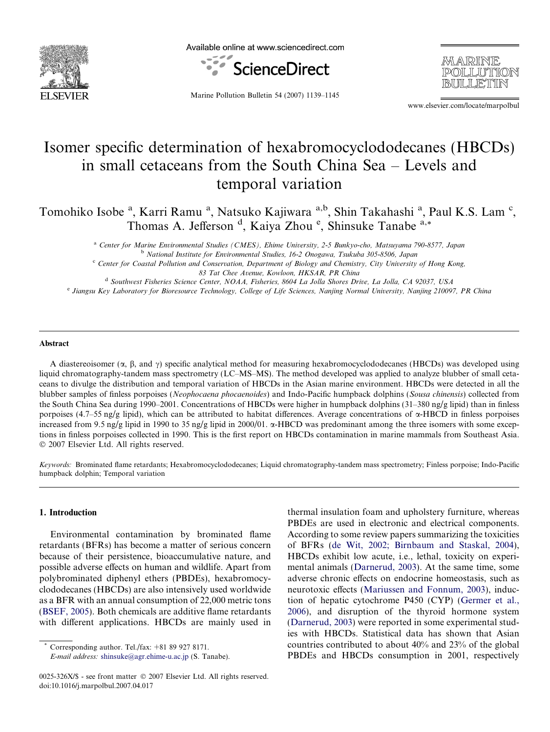

Available online at www.sciencedirect.com



MARINE POLLUTION BIILLETTIN

Marine Pollution Bulletin 54 (2007) 1139–1145

www.elsevier.com/locate/marpolbul

# Isomer specific determination of hexabromocyclododecanes (HBCDs) in small cetaceans from the South China Sea – Levels and temporal variation

Tomohiko Isobe<sup>a</sup>, Karri Ramu<sup>a</sup>, Natsuko Kajiwara <sup>a,b</sup>, Shin Takahashi<sup>a</sup>, Paul K.S. Lam<sup>c</sup>, Thomas A. Jefferson<sup>d</sup>, Kaiya Zhou<sup>e</sup>, Shinsuke Tanabe<sup>a,\*</sup>

> a Center for Marine Environmental Studies (CMES), Ehime University, 2-5 Bunkyo-cho, Matsuyama 790-8577, Japan <sup>b</sup> National Institute for Environmental Studies, 16-2 Onogawa, Tsukuba 305-8506, Japan

> <sup>c</sup> Center for Coastal Pollution and Conservation, Department of Biology and Chemistry, City University of Hong Kong, 83 Tat Chee Avenue, Kowloon, HKSAR, PR China

<sup>d</sup> Southwest Fisheries Science Center, NOAA, Fisheries, 8604 La Jolla Shores Drive, La Jolla, CA 92037, USA

<sup>e</sup> Jiangsu Key Laboratory for Bioresource Technology, College of Life Sciences, Nanjing Normal University, Nanjing 210097, PR China

#### Abstract

A diastereoisomer ( $\alpha$ ,  $\beta$ , and  $\gamma$ ) specific analytical method for measuring hexabromocyclododecanes (HBCDs) was developed using liquid chromatography-tandem mass spectrometry (LC–MS–MS). The method developed was applied to analyze blubber of small cetaceans to divulge the distribution and temporal variation of HBCDs in the Asian marine environment. HBCDs were detected in all the blubber samples of finless porpoises (Neophocaena phocaenoides) and Indo-Pacific humpback dolphins (Sousa chinensis) collected from the South China Sea during 1990–2001. Concentrations of HBCDs were higher in humpback dolphins (31–380 ng/g lipid) than in finless porpoises (4.7–55 ng/g lipid), which can be attributed to habitat differences. Average concentrations of  $\alpha$ -HBCD in finless porpoises increased from 9.5 ng/g lipid in 1990 to 35 ng/g lipid in 2000/01.  $\alpha$ -HBCD was predominant among the three isomers with some exceptions in finless porpoises collected in 1990. This is the first report on HBCDs contamination in marine mammals from Southeast Asia.  $© 2007 Elsevier Ltd. All rights reserved.$ 

Keywords: Brominated flame retardants; Hexabromocyclododecanes; Liquid chromatography-tandem mass spectrometry; Finless porpoise; Indo-Pacific humpback dolphin; Temporal variation

#### 1. Introduction

Environmental contamination by brominated flame retardants (BFRs) has become a matter of serious concern because of their persistence, bioaccumulative nature, and possible adverse effects on human and wildlife. Apart from polybrominated diphenyl ethers (PBDEs), hexabromocyclododecanes (HBCDs) are also intensively used worldwide as a BFR with an annual consumption of 22,000 metric tons ([BSEF, 2005](#page-5-0)). Both chemicals are additive flame retardants with different applications. HBCDs are mainly used in

Corresponding author. Tel./fax:  $+81899278171$ .

E-mail address: [shinsuke@agr.ehime-u.ac.jp](mailto:shinsuke@agr.ehime-u.ac.jp) (S. Tanabe).

thermal insulation foam and upholstery furniture, whereas PBDEs are used in electronic and electrical components. According to some review papers summarizing the toxicities of BFRs ([de Wit, 2002; Birnbaum and Staskal, 2004\)](#page-5-0), HBCDs exhibit low acute, i.e., lethal, toxicity on experimental animals [\(Darnerud, 2003](#page-5-0)). At the same time, some adverse chronic effects on endocrine homeostasis, such as neurotoxic effects ([Mariussen and Fonnum, 2003\)](#page-5-0), induction of hepatic cytochrome P450 (CYP) [\(Germer et al.,](#page-5-0) [2006](#page-5-0)), and disruption of the thyroid hormone system ([Darnerud, 2003\)](#page-5-0) were reported in some experimental studies with HBCDs. Statistical data has shown that Asian countries contributed to about 40% and 23% of the global PBDEs and HBCDs consumption in 2001, respectively

<sup>0025-326</sup>X/\$ - see front matter © 2007 Elsevier Ltd. All rights reserved. doi:10.1016/j.marpolbul.2007.04.017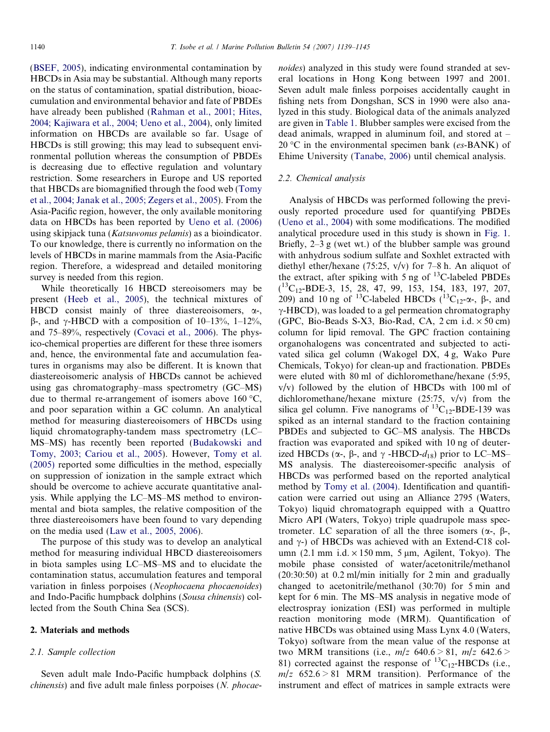[\(BSEF, 2005\)](#page-5-0), indicating environmental contamination by HBCDs in Asia may be substantial. Although many reports on the status of contamination, spatial distribution, bioaccumulation and environmental behavior and fate of PBDEs have already been published [\(Rahman et al., 2001; Hites,](#page-5-0) [2004; Kajiwara et al., 2004; Ueno et al., 2004](#page-5-0)), only limited information on HBCDs are available so far. Usage of HBCDs is still growing; this may lead to subsequent environmental pollution whereas the consumption of PBDEs is decreasing due to effective regulation and voluntary restriction. Some researchers in Europe and US reported that HBCDs are biomagnified through the food web [\(Tomy](#page-5-0) [et al., 2004; Janak et al., 2005; Zegers et al., 2005\)](#page-5-0). From the Asia-Pacific region, however, the only available monitoring data on HBCDs has been reported by [Ueno et al. \(2006\)](#page-6-0) using skipjack tuna (Katsuwonus pelamis) as a bioindicator. To our knowledge, there is currently no information on the levels of HBCDs in marine mammals from the Asia-Pacific region. Therefore, a widespread and detailed monitoring survey is needed from this region.

While theoretically 16 HBCD stereoisomers may be present [\(Heeb et al., 2005\)](#page-5-0), the technical mixtures of HBCD consist mainly of three diastereoisomers,  $\alpha$ -,  $\beta$ -, and  $\gamma$ -HBCD with a composition of 10–13%, 1–12%, and 75–89%, respectively ([Covaci et al., 2006](#page-5-0)). The physico-chemical properties are different for these three isomers and, hence, the environmental fate and accumulation features in organisms may also be different. It is known that diastereoisomeric analysis of HBCDs cannot be achieved using gas chromatography–mass spectrometry (GC–MS) due to thermal re-arrangement of isomers above 160  $\mathrm{^{\circ}C}$ , and poor separation within a GC column. An analytical method for measuring diastereoisomers of HBCDs using liquid chromatography-tandem mass spectrometry (LC– MS–MS) has recently been reported ([Budakowski and](#page-5-0) [Tomy, 2003; Cariou et al., 2005\)](#page-5-0). However, [Tomy et al.](#page-5-0) [\(2005\)](#page-5-0) reported some difficulties in the method, especially on suppression of ionization in the sample extract which should be overcome to achieve accurate quantitative analysis. While applying the LC–MS–MS method to environmental and biota samples, the relative composition of the three diastereoisomers have been found to vary depending on the media used ([Law et al., 2005, 2006](#page-5-0)).

The purpose of this study was to develop an analytical method for measuring individual HBCD diastereoisomers in biota samples using LC–MS–MS and to elucidate the contamination status, accumulation features and temporal variation in finless porpoises (Neophocaena phocaenoides) and Indo-Pacific humpback dolphins (Sousa chinensis) collected from the South China Sea (SCS).

#### 2. Materials and methods

#### 2.1. Sample collection

Seven adult male Indo-Pacific humpback dolphins (S. chinensis) and five adult male finless porpoises (N. phocaenoides) analyzed in this study were found stranded at several locations in Hong Kong between 1997 and 2001. Seven adult male finless porpoises accidentally caught in fishing nets from Dongshan, SCS in 1990 were also analyzed in this study. Biological data of the animals analyzed are given in [Table 1](#page-2-0). Blubber samples were excised from the dead animals, wrapped in aluminum foil, and stored at –  $20^{\circ}$ C in the environmental specimen bank (es-BANK) of Ehime University ([Tanabe, 2006\)](#page-5-0) until chemical analysis.

#### 2.2. Chemical analysis

Analysis of HBCDs was performed following the previously reported procedure used for quantifying PBDEs [\(Ueno et al., 2004\)](#page-6-0) with some modifications. The modified analytical procedure used in this study is shown in [Fig. 1](#page-2-0). Briefly, 2–3 g (wet wt.) of the blubber sample was ground with anhydrous sodium sulfate and Soxhlet extracted with diethyl ether/hexane (75:25, v/v) for 7–8 h. An aliquot of the extract, after spiking with  $5 \text{ ng of }^{13}$ C-labeled PBDEs  $(^{13}C_{12}$ -BDE-3, 15, 28, 47, 99, 153, 154, 183, 197, 207, 209) and 10 ng of <sup>13</sup>C-labeled HBCDs ( ${}^{13}C_{12}$ - $\alpha$ -,  $\beta$ -, and  $\gamma$ -HBCD), was loaded to a gel permeation chromatography (GPC, Bio-Beads S-X3, Bio-Rad, CA,  $2 \text{ cm } i.d. \times 50 \text{ cm}$ ) column for lipid removal. The GPC fraction containing organohalogens was concentrated and subjected to activated silica gel column (Wakogel DX, 4 g, Wako Pure Chemicals, Tokyo) for clean-up and fractionation. PBDEs were eluted with 80 ml of dichloromethane/hexane (5:95,  $v/v$ ) followed by the elution of HBCDs with 100 ml of dichloromethane/hexane mixture (25:75, v/v) from the silica gel column. Five nanograms of  ${}^{13}C_{12}$ -BDE-139 was spiked as an internal standard to the fraction containing PBDEs and subjected to GC–MS analysis. The HBCDs fraction was evaporated and spiked with 10 ng of deuterized HBCDs ( $\alpha$ -,  $\beta$ -, and  $\gamma$  -HBCD- $d_{18}$ ) prior to LC–MS– MS analysis. The diastereoisomer-specific analysis of HBCDs was performed based on the reported analytical method by [Tomy et al. \(2004\).](#page-5-0) Identification and quantification were carried out using an Alliance 2795 (Waters, Tokyo) liquid chromatograph equipped with a Quattro Micro API (Waters, Tokyo) triple quadrupole mass spectrometer. LC separation of all the three isomers  $(\alpha, \beta, \beta)$ and  $\gamma$ -) of HBCDs was achieved with an Extend-C18 column  $(2.1 \text{ mm } i.d. \times 150 \text{ mm}, 5 \text{ µm},$  Agilent, Tokyo). The mobile phase consisted of water/acetonitrile/methanol (20:30:50) at 0.2 ml/min initially for 2 min and gradually changed to acetonitrile/methanol (30:70) for 5 min and kept for 6 min. The MS–MS analysis in negative mode of electrospray ionization (ESI) was performed in multiple reaction monitoring mode (MRM). Quantification of native HBCDs was obtained using Mass Lynx 4.0 (Waters, Tokyo) software from the mean value of the response at two MRM transitions (i.e.,  $m/z$  640.6 > 81,  $m/z$  642.6 > 81) corrected against the response of  ${}^{13}C_{12}$ -HBCDs (i.e.,  $m/z$  652.6 > 81 MRM transition). Performance of the instrument and effect of matrices in sample extracts were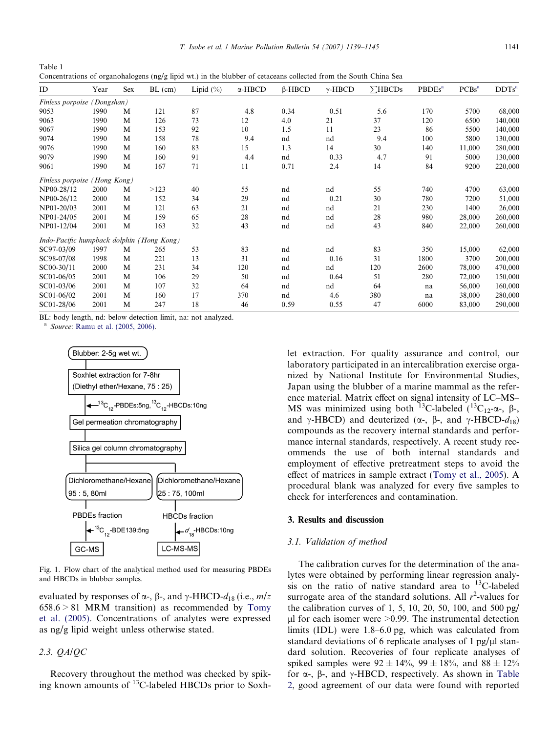<span id="page-2-0"></span>Table 1 Concentrations of organohalogens (ng/g lipid wt.) in the blubber of cetaceans collected from the South China Sea

| ID                                        | Year        | Sex | $BL$ (cm) | Lipid $(\% )$ | $\alpha$ -HBCD | $\beta$ -HBCD | $\gamma$ -HBCD | $\Sigma$ HBCDs | <b>PBDEs<sup>a</sup></b> | PCBs <sup>a</sup> | $DDTs^a$ |
|-------------------------------------------|-------------|-----|-----------|---------------|----------------|---------------|----------------|----------------|--------------------------|-------------------|----------|
| Finless porpoise (Dongshan)               |             |     |           |               |                |               |                |                |                          |                   |          |
| 9053                                      | 1990        | M   | 121       | 87            | 4.8            | 0.34          | 0.51           | 5.6            | 170                      | 5700              | 68,000   |
| 9063                                      | 1990        | M   | 126       | 73            | 12             | 4.0           | 21             | 37             | 120                      | 6500              | 140,000  |
| 9067                                      | 1990        | M   | 153       | 92            | 10             | 1.5           | 11             | 23             | 86                       | 5500              | 140,000  |
| 9074                                      | 1990        | M   | 158       | 78            | 9.4            | nd            | nd             | 9.4            | 100                      | 5800              | 130,000  |
| 9076                                      | 1990        | M   | 160       | 83            | 15             | 1.3           | 14             | 30             | 140                      | 11,000            | 280,000  |
| 9079                                      | 1990        | M   | 160       | 91            | 4.4            | nd            | 0.33           | 4.7            | 91                       | 5000              | 130,000  |
| 9061                                      | 1990        | M   | 167       | 71            | 11             | 0.71          | 2.4            | 14             | 84                       | 9200              | 220,000  |
| Finless porpoise                          | (Hong Kong) |     |           |               |                |               |                |                |                          |                   |          |
| NP00-28/12                                | 2000        | M   | >123      | 40            | 55             | nd            | nd             | 55             | 740                      | 4700              | 63,000   |
| NP00-26/12                                | 2000        | M   | 152       | 34            | 29             | nd            | 0.21           | 30             | 780                      | 7200              | 51,000   |
| NP01-20/03                                | 2001        | M   | 121       | 63            | 21             | nd            | nd             | 21             | 230                      | 1400              | 26,000   |
| NP01-24/05                                | 2001        | M   | 159       | 65            | 28             | nd            | nd             | 28             | 980                      | 28,000            | 260,000  |
| NP01-12/04                                | 2001        | M   | 163       | 32            | 43             | nd            | nd             | 43             | 840                      | 22,000            | 260,000  |
| Indo-Pacific humpback dolphin (Hong Kong) |             |     |           |               |                |               |                |                |                          |                   |          |
| SC97-03/09                                | 1997        | M   | 265       | 53            | 83             | nd            | nd             | 83             | 350                      | 15,000            | 62,000   |
| SC98-07/08                                | 1998        | M   | 221       | 13            | 31             | nd            | 0.16           | 31             | 1800                     | 3700              | 200,000  |
| SC00-30/11                                | 2000        | M   | 231       | 34            | 120            | nd            | nd             | 120            | 2600                     | 78,000            | 470,000  |
| SC01-06/05                                | 2001        | M   | 106       | 29            | 50             | nd            | 0.64           | 51             | 280                      | 72,000            | 150,000  |
| SC01-03/06                                | 2001        | M   | 107       | 32            | 64             | nd            | nd             | 64             | na                       | 56,000            | 160,000  |
| SC01-06/02                                | 2001        | M   | 160       | 17            | 370            | nd            | 4.6            | 380            | na                       | 38,000            | 280,000  |
| SC01-28/06                                | 2001        | M   | 247       | 18            | 46             | 0.59          | 0.55           | 47             | 6000                     | 83,000            | 290,000  |

BL: body length, nd: below detection limit, na: not analyzed.

<sup>a</sup> Source: [Ramu et al. \(2005, 2006\)](#page-5-0).



Fig. 1. Flow chart of the analytical method used for measuring PBDEs and HBCDs in blubber samples.

evaluated by responses of  $\alpha$ -,  $\beta$ -, and  $\gamma$ -HBCD- $d_{18}$  (i.e.,  $m/z$  $658.6 > 81$  MRM transition) as recommended by [Tomy](#page-5-0) [et al. \(2005\)](#page-5-0). Concentrations of analytes were expressed as ng/g lipid weight unless otherwise stated.

# 2.3. QA/QC

Recovery throughout the method was checked by spiking known amounts of 13C-labeled HBCDs prior to Soxhlet extraction. For quality assurance and control, our laboratory participated in an intercalibration exercise organized by National Institute for Environmental Studies, Japan using the blubber of a marine mammal as the reference material. Matrix effect on signal intensity of LC–MS– MS was minimized using both <sup>13</sup>C-labeled (<sup>13</sup>C<sub>12</sub>- $\alpha$ -,  $\beta$ -, and  $\gamma$ -HBCD) and deuterized ( $\alpha$ -,  $\beta$ -, and  $\gamma$ -HBCD- $d_{18}$ ) compounds as the recovery internal standards and performance internal standards, respectively. A recent study recommends the use of both internal standards and employment of effective pretreatment steps to avoid the effect of matrices in sample extract ([Tomy et al., 2005](#page-5-0)). A procedural blank was analyzed for every five samples to check for interferences and contamination.

# 3. Results and discussion

#### 3.1. Validation of method

The calibration curves for the determination of the analytes were obtained by performing linear regression analysis on the ratio of native standard area to  $^{13}$ C-labeled surrogate area of the standard solutions. All  $r^2$ -values for the calibration curves of 1, 5, 10, 20, 50, 100, and 500 pg/  $\mu$ l for each isomer were  $>0.99$ . The instrumental detection limits (IDL) were 1.8–6.0 pg, which was calculated from standard deviations of 6 replicate analyses of 1 pg/ $\mu$ l standard solution. Recoveries of four replicate analyses of spiked samples were  $92 \pm 14\%$ ,  $99 \pm 18\%$ , and  $88 \pm 12\%$ for  $\alpha$ -,  $\beta$ -, and  $\gamma$ -HBCD, respectively. As shown in [Table](#page-3-0) [2,](#page-3-0) good agreement of our data were found with reported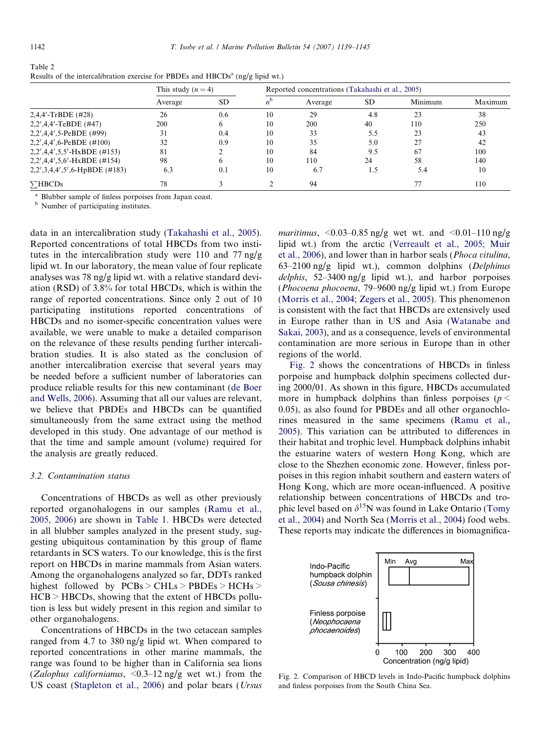<span id="page-3-0"></span>

| Table 2                                                                                    |  |
|--------------------------------------------------------------------------------------------|--|
| Results of the intercalibration exercise for PBDEs and HBCDs <sup>a</sup> (ng/g lipid wt.) |  |

|                                  | This study $(n=4)$ |           | Reported concentrations (Takahashi et al., 2005) |         |           |         |         |  |
|----------------------------------|--------------------|-----------|--------------------------------------------------|---------|-----------|---------|---------|--|
|                                  | Average            | <b>SD</b> |                                                  | Average | <b>SD</b> | Minimum | Maximum |  |
| $2,4,4'$ -TrBDE (#28)            | 26                 | 0.6       | 10                                               | 29      | 4.8       | 23      | 38      |  |
| $2,2',4,4'-TeBDE$ (#47)          | 200                | 6         | 10                                               | 200     | 40        | 110     | 250     |  |
| 2,2',4,4',5-PeBDE (#99)          | 31                 | 0.4       | 10                                               | 33      | 5.5       | 23      | 43      |  |
| $2,2',4,4',6$ -PeBDE (#100)      | 32                 | 0.9       | 10                                               | 35      | 5.0       | 27      | 42      |  |
| $2,2',4,4',5,5'-HxBDE$ (#153)    | 81                 |           | 10                                               | 84      | 9.5       | 67      | 100     |  |
| $2,2',4,4',5,6'$ -HxBDE (#154)   | 98                 | 6         | 10                                               | 110     | 24        | 58      | 140     |  |
| $2,2',3,4,4',5',6$ -HpBDE (#183) | 6.3                | 0.1       | 10                                               | 6.7     | 1.5       | 5.4     | 10      |  |
| $\Sigma$ HBCDs                   | 78                 |           |                                                  | 94      |           | 77      | 110     |  |

<sup>a</sup> Blubber sample of finless porpoises from Japan coast.

<sup>b</sup> Number of participating institutes.

data in an intercalibration study [\(Takahashi et al., 2005\)](#page-5-0). Reported concentrations of total HBCDs from two institutes in the intercalibration study were 110 and 77 ng/g lipid wt. In our laboratory, the mean value of four replicate analyses was 78 ng/g lipid wt. with a relative standard deviation (RSD) of 3.8% for total HBCDs, which is within the range of reported concentrations. Since only 2 out of 10 participating institutions reported concentrations of HBCDs and no isomer-specific concentration values were available, we were unable to make a detailed comparison on the relevance of these results pending further intercalibration studies. It is also stated as the conclusion of another intercalibration exercise that several years may be needed before a sufficient number of laboratories can produce reliable results for this new contaminant [\(de Boer](#page-5-0) [and Wells, 2006\)](#page-5-0). Assuming that all our values are relevant, we believe that PBDEs and HBCDs can be quantified simultaneously from the same extract using the method developed in this study. One advantage of our method is that the time and sample amount (volume) required for the analysis are greatly reduced.

## 3.2. Contamination status

Concentrations of HBCDs as well as other previously reported organohalogens in our samples [\(Ramu et al.,](#page-5-0) [2005, 2006](#page-5-0)) are shown in [Table 1](#page-2-0). HBCDs were detected in all blubber samples analyzed in the present study, suggesting ubiquitous contamination by this group of flame retardants in SCS waters. To our knowledge, this is the first report on HBCDs in marine mammals from Asian waters. Among the organohalogens analyzed so far, DDTs ranked highest followed by PCBs > CHLs > PBDEs > HCHs > HCB > HBCDs, showing that the extent of HBCDs pollution is less but widely present in this region and similar to other organohalogens.

Concentrations of HBCDs in the two cetacean samples ranged from 4.7 to 380 ng/g lipid wt. When compared to reported concentrations in other marine mammals, the range was found to be higher than in California sea lions (Zalophus californianus,  $\langle 0.3-12 \rangle$  ng/g wet wt.) from the US coast [\(Stapleton et al., 2006\)](#page-5-0) and polar bears (Ursus maritimus,  $\langle 0.03 - 0.85$  ng/g wet wt. and  $\langle 0.01 - 110$  ng/g lipid wt.) from the arctic ([Verreault et al., 2005; Muir](#page-6-0) [et al., 2006\)](#page-6-0), and lower than in harbor seals (Phoca vitulina,  $63-2100$  ng/g lipid wt.), common dolphins (Delphinus delphis,  $52-3400$  ng/g lipid wt.), and harbor porpoises (Phocoena phocoena, 79–9600 ng/g lipid wt.) from Europe [\(Morris et al., 2004; Zegers et al., 2005\)](#page-5-0). This phenomenon is consistent with the fact that HBCDs are extensively used in Europe rather than in US and Asia [\(Watanabe and](#page-6-0) [Sakai, 2003\)](#page-6-0), and as a consequence, levels of environmental contamination are more serious in Europe than in other regions of the world.

Fig. 2 shows the concentrations of HBCDs in finless porpoise and humpback dolphin specimens collected during 2000/01. As shown in this figure, HBCDs accumulated more in humpback dolphins than finless porpoises ( $p <$ 0.05), as also found for PBDEs and all other organochlorines measured in the same specimens [\(Ramu et al.,](#page-5-0) [2005\)](#page-5-0). This variation can be attributed to differences in their habitat and trophic level. Humpback dolphins inhabit the estuarine waters of western Hong Kong, which are close to the Shezhen economic zone. However, finless porpoises in this region inhabit southern and eastern waters of Hong Kong, which are more ocean-influenced. A positive relationship between concentrations of HBCDs and trophic level based on  $\delta^{15}N$  was found in Lake Ontario [\(Tomy](#page-5-0) [et al., 2004\)](#page-5-0) and North Sea [\(Morris et al., 2004\)](#page-5-0) food webs. These reports may indicate the differences in biomagnifica-



Fig. 2. Comparison of HBCD levels in Indo-Pacific humpback dolphins and finless porpoises from the South China Sea.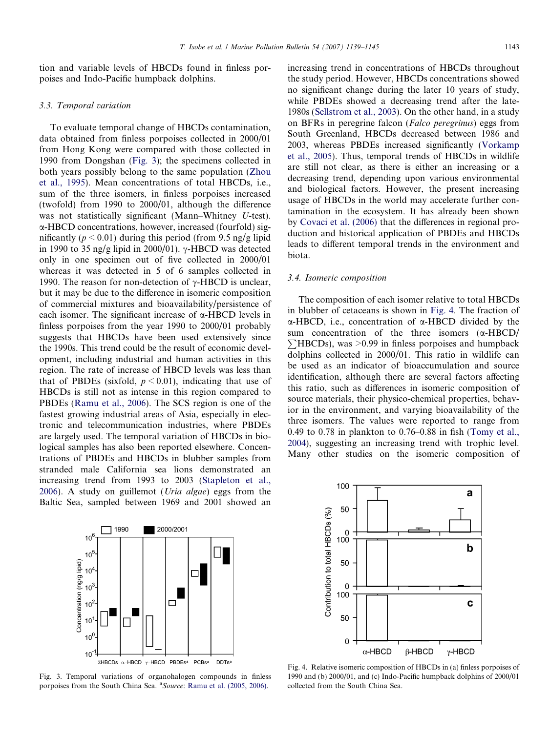tion and variable levels of HBCDs found in finless porpoises and Indo-Pacific humpback dolphins.

# 3.3. Temporal variation

To evaluate temporal change of HBCDs contamination, data obtained from finless porpoises collected in 2000/01 from Hong Kong were compared with those collected in 1990 from Dongshan (Fig. 3); the specimens collected in both years possibly belong to the same population [\(Zhou](#page-6-0) [et al., 1995](#page-6-0)). Mean concentrations of total HBCDs, i.e., sum of the three isomers, in finless porpoises increased (twofold) from 1990 to 2000/01, although the difference was not statistically significant (Mann–Whitney U-test). a-HBCD concentrations, however, increased (fourfold) significantly ( $p \le 0.01$ ) during this period (from 9.5 ng/g lipid in 1990 to 35 ng/g lipid in 2000/01).  $\gamma$ -HBCD was detected only in one specimen out of five collected in 2000/01 whereas it was detected in 5 of 6 samples collected in 1990. The reason for non-detection of  $\gamma$ -HBCD is unclear, but it may be due to the difference in isomeric composition of commercial mixtures and bioavailability/persistence of each isomer. The significant increase of  $\alpha$ -HBCD levels in finless porpoises from the year 1990 to 2000/01 probably suggests that HBCDs have been used extensively since the 1990s. This trend could be the result of economic development, including industrial and human activities in this region. The rate of increase of HBCD levels was less than that of PBDEs (sixfold,  $p \le 0.01$ ), indicating that use of HBCDs is still not as intense in this region compared to PBDEs ([Ramu et al., 2006](#page-5-0)). The SCS region is one of the fastest growing industrial areas of Asia, especially in electronic and telecommunication industries, where PBDEs are largely used. The temporal variation of HBCDs in biological samples has also been reported elsewhere. Concentrations of PBDEs and HBCDs in blubber samples from stranded male California sea lions demonstrated an increasing trend from 1993 to 2003 [\(Stapleton et al.,](#page-5-0) [2006](#page-5-0)). A study on guillemot (Uria algae) eggs from the Baltic Sea, sampled between 1969 and 2001 showed an increasing trend in concentrations of HBCDs throughout the study period. However, HBCDs concentrations showed no significant change during the later 10 years of study, while PBDEs showed a decreasing trend after the late-1980s [\(Sellstrom et al., 2003](#page-5-0)). On the other hand, in a study on BFRs in peregrine falcon (Falco peregrinus) eggs from South Greenland, HBCDs decreased between 1986 and 2003, whereas PBDEs increased significantly ([Vorkamp](#page-6-0) [et al., 2005\)](#page-6-0). Thus, temporal trends of HBCDs in wildlife are still not clear, as there is either an increasing or a decreasing trend, depending upon various environmental and biological factors. However, the present increasing usage of HBCDs in the world may accelerate further contamination in the ecosystem. It has already been shown by [Covaci et al. \(2006\)](#page-5-0) that the differences in regional production and historical application of PBDEs and HBCDs leads to different temporal trends in the environment and biota.

#### 3.4. Isomeric composition

The composition of each isomer relative to total HBCDs in blubber of cetaceans is shown in Fig. 4. The fraction of  $\alpha$ -HBCD, i.e., concentration of  $\alpha$ -HBCD divided by the sum concentration of the three isomers ( a-HBCD/  $\sum$ HBCDs), was >0.99 in finless porpoises and humpback dolphins collected in 2000/01. This ratio in wildlife can be used as an indicator of bioaccumulation and source identification, although there are several factors affecting this ratio, such as differences in isomeric composition of source materials, their physico-chemical properties, behavior in the environment, and varying bioavailability of the three isomers. The values were reported to range from 0.49 to 0.78 in plankton to 0.76–0.88 in fish [\(Tomy et al.,](#page-5-0) [2004](#page-5-0)), suggesting an increasing trend with trophic level. Many other studies on the isomeric composition of



Fig. 3. Temporal variations of organohalogen compounds in finless porpoises from the South China Sea. <sup>a</sup> Source: [Ramu et al. \(2005, 2006\).](#page-5-0)



Fig. 4. Relative isomeric composition of HBCDs in (a) finless porpoises of 1990 and (b) 2000/01, and (c) Indo-Pacific humpback dolphins of 2000/01 collected from the South China Sea.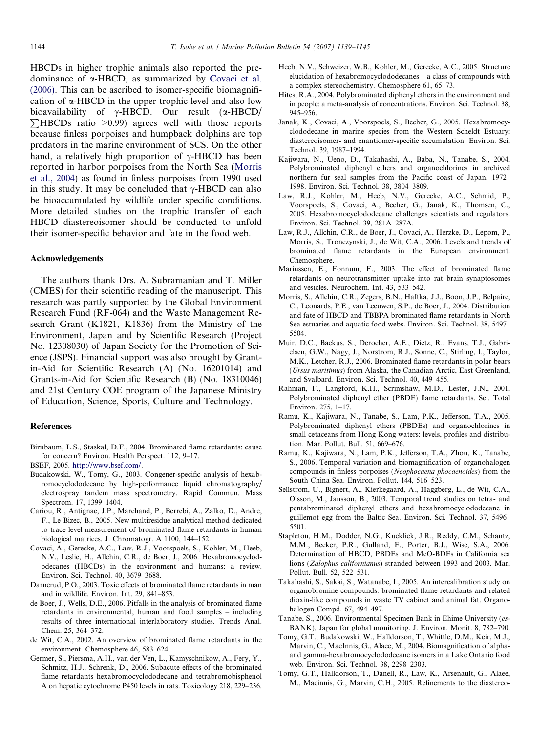<span id="page-5-0"></span>HBCDs in higher trophic animals also reported the predominance of  $\alpha$ -HBCD, as summarized by Covaci et al. (2006). This can be ascribed to isomer-specific biomagnification of  $\alpha$ -HBCD in the upper trophic level and also low bioavailability of γ-HBCD. Our result (α-HBCD/  $\sum$ HBCDs ratio >0.99) agrees well with those reports because finless porpoises and humpback dolphins are top predators in the marine environment of SCS. On the other hand, a relatively high proportion of  $\gamma$ -HBCD has been reported in harbor porpoises from the North Sea (Morris et al., 2004) as found in finless porpoises from 1990 used in this study. It may be concluded that  $\gamma$ -HBCD can also be bioaccumulated by wildlife under specific conditions. More detailed studies on the trophic transfer of each HBCD diastereoisomer should be conducted to unfold their isomer-specific behavior and fate in the food web.

# Acknowledgements

The authors thank Drs. A. Subramanian and T. Miller (CMES) for their scientific reading of the manuscript. This research was partly supported by the Global Environment Research Fund (RF-064) and the Waste Management Research Grant (K1821, K1836) from the Ministry of the Environment, Japan and by Scientific Research (Project No. 12308030) of Japan Society for the Promotion of Science (JSPS). Financial support was also brought by Grantin-Aid for Scientific Research (A) (No. 16201014) and Grants-in-Aid for Scientific Research (B) (No. 18310046) and 21st Century COE program of the Japanese Ministry of Education, Science, Sports, Culture and Technology.

#### References

- Birnbaum, L.S., Staskal, D.F., 2004. Brominated flame retardants: cause for concern? Environ. Health Perspect. 112, 9–17.
- BSEF, 2005. [http://www.bsef.com/.](http://www.bsef.com/)
- Budakowski, W., Tomy, G., 2003. Congener-specific analysis of hexabromocyclododecane by high-performance liquid chromatography/ electrospray tandem mass spectrometry. Rapid Commun. Mass Spectrom. 17, 1399–1404.
- Cariou, R., Antignac, J.P., Marchand, P., Berrebi, A., Zalko, D., Andre, F., Le Bizec, B., 2005. New multiresidue analytical method dedicated to trace level measurement of brominated flame retardants in human biological matrices. J. Chromatogr. A 1100, 144–152.
- Covaci, A., Gerecke, A.C., Law, R.J., Voorspoels, S., Kohler, M., Heeb, N.V., Leslie, H., Allchin, C.R., de Boer, J., 2006. Hexabromocyclododecanes (HBCDs) in the environment and humans: a review. Environ. Sci. Technol. 40, 3679–3688.
- Darnerud, P.O., 2003. Toxic effects of brominated flame retardants in man and in wildlife. Environ. Int. 29, 841–853.
- de Boer, J., Wells, D.E., 2006. Pitfalls in the analysis of brominated flame retardants in environmental, human and food samples – including results of three international interlaboratory studies. Trends Anal. Chem. 25, 364–372.
- de Wit, C.A., 2002. An overview of brominated flame retardants in the environment. Chemosphere 46, 583–624.
- Germer, S., Piersma, A.H., van der Ven, L., Kamyschnikow, A., Fery, Y., Schmitz, H.J., Schrenk, D., 2006. Subacute effects of the brominated flame retardants hexabromocyclododecane and tetrabromobisphenol A on hepatic cytochrome P450 levels in rats. Toxicology 218, 229–236.
- Heeb, N.V., Schweizer, W.B., Kohler, M., Gerecke, A.C., 2005. Structure elucidation of hexabromocyclododecanes – a class of compounds with a complex stereochemistry. Chemosphere 61, 65–73.
- Hites, R.A., 2004. Polybrominated diphenyl ethers in the environment and in people: a meta-analysis of concentrations. Environ. Sci. Technol. 38, 945–956.
- Janak, K., Covaci, A., Voorspoels, S., Becher, G., 2005. Hexabromocyclododecane in marine species from the Western Scheldt Estuary: diastereoisomer- and enantiomer-specific accumulation. Environ. Sci. Technol. 39, 1987–1994.
- Kajiwara, N., Ueno, D., Takahashi, A., Baba, N., Tanabe, S., 2004. Polybrominated diphenyl ethers and organochlorines in archived northern fur seal samples from the Pacific coast of Japan, 1972– 1998. Environ. Sci. Technol. 38, 3804–3809.
- Law, R.J., Kohler, M., Heeb, N.V., Gerecke, A.C., Schmid, P., Voorspoels, S., Covaci, A., Becher, G., Janak, K., Thomsen, C., 2005. Hexabromocyclododecane challenges scientists and regulators. Environ. Sci. Technol. 39, 281A–287A.
- Law, R.J., Allchin, C.R., de Boer, J., Covaci, A., Herzke, D., Lepom, P., Morris, S., Tronczynski, J., de Wit, C.A., 2006. Levels and trends of brominated flame retardants in the European environment. Chemosphere.
- Mariussen, E., Fonnum, F., 2003. The effect of brominated flame retardants on neurotransmitter uptake into rat brain synaptosomes and vesicles. Neurochem. Int. 43, 533–542.
- Morris, S., Allchin, C.R., Zegers, B.N., Haftka, J.J., Boon, J.P., Belpaire, C., Leonards, P.E., van Leeuwen, S.P., de Boer, J., 2004. Distribution and fate of HBCD and TBBPA brominated flame retardants in North Sea estuaries and aquatic food webs. Environ. Sci. Technol. 38, 5497– 5504.
- Muir, D.C., Backus, S., Derocher, A.E., Dietz, R., Evans, T.J., Gabrielsen, G.W., Nagy, J., Norstrom, R.J., Sonne, C., Stirling, I., Taylor, M.K., Letcher, R.J., 2006. Brominated flame retardants in polar bears (Ursus maritimus) from Alaska, the Canadian Arctic, East Greenland, and Svalbard. Environ. Sci. Technol. 40, 449–455.
- Rahman, F., Langford, K.H., Scrimshaw, M.D., Lester, J.N., 2001. Polybrominated diphenyl ether (PBDE) flame retardants. Sci. Total Environ. 275, 1–17.
- Ramu, K., Kajiwara, N., Tanabe, S., Lam, P.K., Jefferson, T.A., 2005. Polybrominated diphenyl ethers (PBDEs) and organochlorines in small cetaceans from Hong Kong waters: levels, profiles and distribution. Mar. Pollut. Bull. 51, 669–676.
- Ramu, K., Kajiwara, N., Lam, P.K., Jefferson, T.A., Zhou, K., Tanabe, S., 2006. Temporal variation and biomagnification of organohalogen compounds in finless porpoises (Neophocaena phocaenoides) from the South China Sea. Environ. Pollut. 144, 516–523.
- Sellstrom, U., Bignert, A., Kierkegaard, A., Haggberg, L., de Wit, C.A., Olsson, M., Jansson, B., 2003. Temporal trend studies on tetra- and pentabrominated diphenyl ethers and hexabromocyclododecane in guillemot egg from the Baltic Sea. Environ. Sci. Technol. 37, 5496– 5501.
- Stapleton, H.M., Dodder, N.G., Kucklick, J.R., Reddy, C.M., Schantz, M.M., Becker, P.R., Gulland, F., Porter, B.J., Wise, S.A., 2006. Determination of HBCD, PBDEs and MeO-BDEs in California sea lions (Zalophus californianus) stranded between 1993 and 2003. Mar. Pollut. Bull. 52, 522–531.
- Takahashi, S., Sakai, S., Watanabe, I., 2005. An intercalibration study on organobromine compounds: brominated flame retardants and related dioxin-like compounds in waste TV cabinet and animal fat. Organohalogen Compd. 67, 494–497.
- Tanabe, S., 2006. Environmental Specimen Bank in Ehime University (es-BANK), Japan for global monitoring. J. Environ. Monit. 8, 782–790.
- Tomy, G.T., Budakowski, W., Halldorson, T., Whittle, D.M., Keir, M.J., Marvin, C., MacInnis, G., Alaee, M., 2004. Biomagnification of alphaand gamma-hexabromocyclododecane isomers in a Lake Ontario food web. Environ. Sci. Technol. 38, 2298–2303.
- Tomy, G.T., Halldorson, T., Danell, R., Law, K., Arsenault, G., Alaee, M., Macinnis, G., Marvin, C.H., 2005. Refinements to the diastereo-